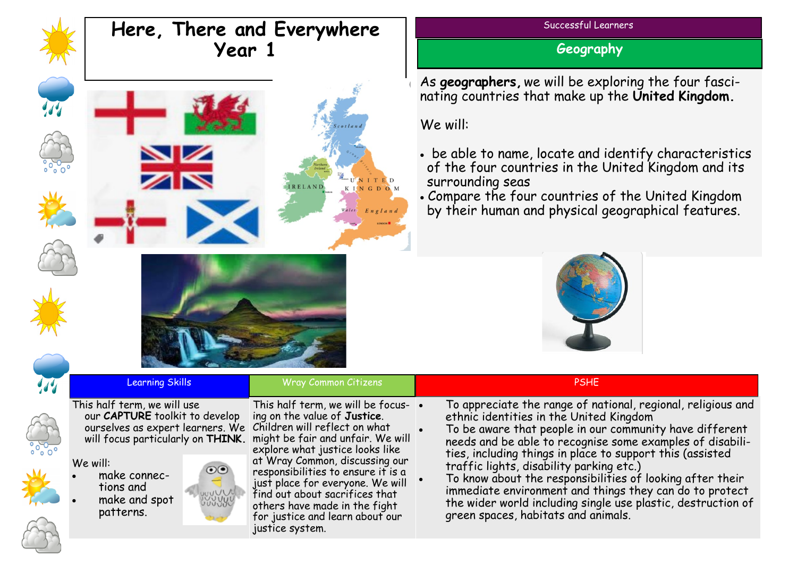

## **Here, There and Everywhere Year 1**





**Geography**

As **geographers,** we will be exploring the four fascinating countries that make up the **United Kingdom.** 

We will:

- be able to name, locate and identify characteristics of the four countries in the United Kingdom and its surrounding seas
- Compare the four countries of the United Kingdom by their human and physical geographical features.



|               | <b>Learning Skills</b>                                                                                                                                                                                                    | <b>Wray Common Citizens</b>                                                                                                                                                                                                                                                                                                                                                                                              | <b>PSHE</b>                                                                                                                                                                                                                                                                                                                                                                                                                                                                                                                                                             |  |
|---------------|---------------------------------------------------------------------------------------------------------------------------------------------------------------------------------------------------------------------------|--------------------------------------------------------------------------------------------------------------------------------------------------------------------------------------------------------------------------------------------------------------------------------------------------------------------------------------------------------------------------------------------------------------------------|-------------------------------------------------------------------------------------------------------------------------------------------------------------------------------------------------------------------------------------------------------------------------------------------------------------------------------------------------------------------------------------------------------------------------------------------------------------------------------------------------------------------------------------------------------------------------|--|
| $\frac{1}{2}$ | This half term, we will use<br>our CAPTURE toolkit to develop<br>ourselves as expert learners. We Children will reflect on what<br>We will:<br>$_{\odot\odot}$<br>make connec-<br>tions and<br>make and spot<br>patterns. | This half term, we will be focus- $\cdot$<br>ing on the value of Justice.<br>will focus particularly on THINK. might be fair and unfair. We will<br>explore what justice looks like<br>at Wray Common, discussing our<br>responsibilities to ensure it is a<br>just place for everyone. We will<br>find out about sacrifices that<br>others have made in the fight<br>for justice and learn about our<br>justice system. | To appreciate the range of national, regional, religious and<br>ethnic identities in the United Kingdom<br>To be aware that people in our community have different<br>needs and be able to recognise some examples of disabili-<br>ties, including things in place to support this (assisted<br>traffic lights, disability parking etc.)<br>To know about the responsibilities of looking after their<br>immediate environment and things they can do to protect<br>the wider world including single use plastic, destruction of<br>green spaces, habitats and animals. |  |